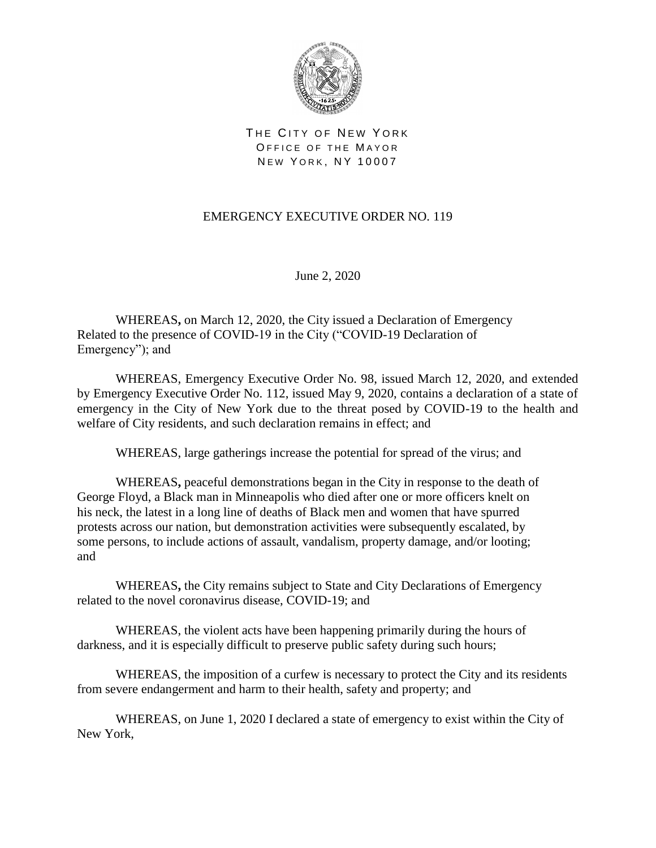

THE CITY OF NEW YORK OFFICE OF THE MAYOR NEW YORK, NY 10007

## EMERGENCY EXECUTIVE ORDER NO. 119

June 2, 2020

WHEREAS**,** on March 12, 2020, the City issued a Declaration of Emergency Related to the presence of COVID-19 in the City ("COVID-19 Declaration of Emergency"); and

WHEREAS, Emergency Executive Order No. 98, issued March 12, 2020, and extended by Emergency Executive Order No. 112, issued May 9, 2020, contains a declaration of a state of emergency in the City of New York due to the threat posed by COVID-19 to the health and welfare of City residents, and such declaration remains in effect; and

WHEREAS, large gatherings increase the potential for spread of the virus; and

WHEREAS**,** peaceful demonstrations began in the City in response to the death of George Floyd, a Black man in Minneapolis who died after one or more officers knelt on his neck, the latest in a long line of deaths of Black men and women that have spurred protests across our nation, but demonstration activities were subsequently escalated, by some persons, to include actions of assault, vandalism, property damage, and/or looting; and

WHEREAS**,** the City remains subject to State and City Declarations of Emergency related to the novel coronavirus disease, COVID-19; and

WHEREAS, the violent acts have been happening primarily during the hours of darkness, and it is especially difficult to preserve public safety during such hours;

WHEREAS, the imposition of a curfew is necessary to protect the City and its residents from severe endangerment and harm to their health, safety and property; and

WHEREAS, on June 1, 2020 I declared a state of emergency to exist within the City of New York,